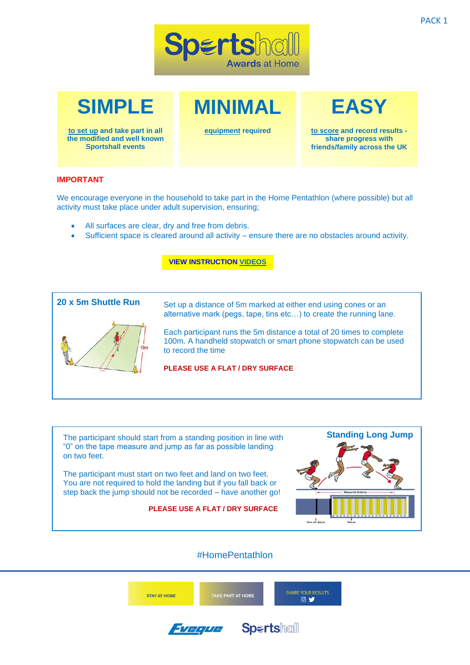



**to set up and take part in all the modified and well known Sportshall events**

**equipment required** 

**MINIMAL**

**EASY**

**to score and record results share progress with friends/family across the UK**

## **IMPORTANT**

We encourage everyone in the household to take part in the Home Pentathlon (where possible) but all activity must take place under adult supervision, ensuring;

- All surfaces are clear, dry and free from debris.
- Sufficient space is cleared around all activity ensure there are no obstacles around activity.

## **[VIEW INSTRUCTION VIDEOS](http://www.sportshall.org/homepentathlon)**



Set up a distance of 5m marked at either end using cones or an alternative mark (pegs, tape, tins etc…) to create the running lane.

Each participant runs the 5m distance a total of 20 times to complete 100m. A handheld stopwatch or smart phone stopwatch can be used to record the time

**PLEASE USE A FLAT / DRY SURFACE**

The participant should start from a standing position in line with "0" on the tape measure and jump as far as possible landing on two feet.

The participant must start on two feet and land on two feet. You are not required to hold the landing but if you fall back or step back the jump should not be recorded – have another go!

**PLEASE USE A FLAT / DRY SURFACE**



## #HomePentathlon